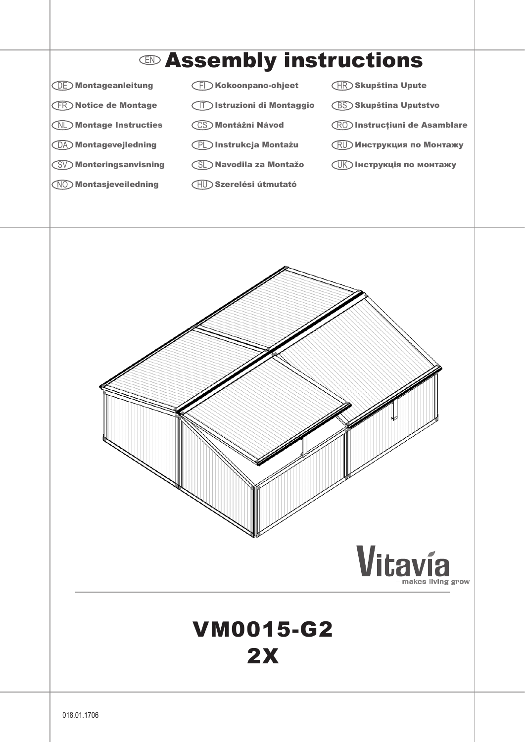

## Vitavía VM0015-G2 2X

018.01.1706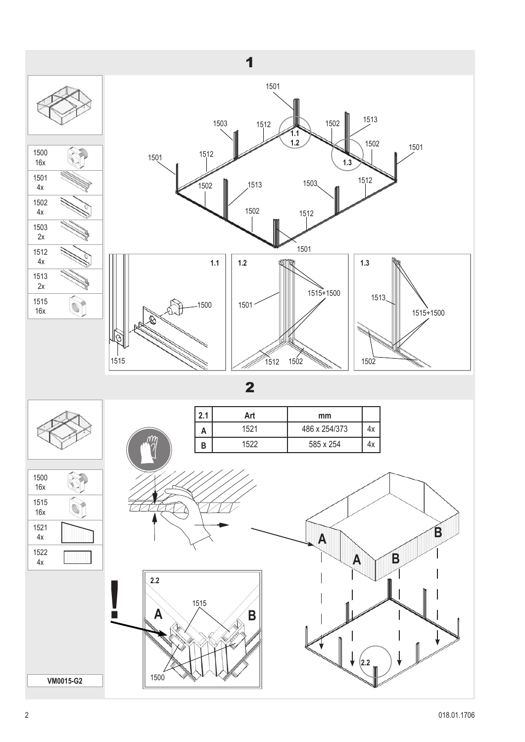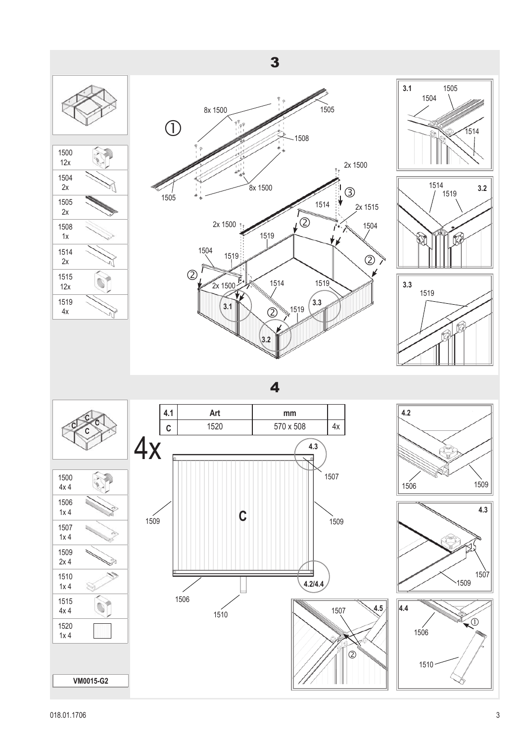